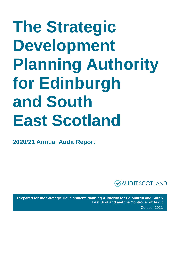# **The Strategic Development Planning Authority for Edinburgh and South East Scotland**

**2020/21 Annual Audit Report**



**Prepared for the Strategic Development Planning Authority for Edinburgh and South East Scotland and the Controller of Audit** October 2021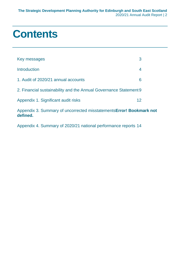### **Contents**

| Key messages                                                                     | 3 |  |
|----------------------------------------------------------------------------------|---|--|
| <b>Introduction</b>                                                              | 4 |  |
| 1. Audit of 2020/21 annual accounts                                              | 6 |  |
| 2. Financial sustainability and the Annual Governance Statement 9                |   |  |
| 12<br>Appendix 1. Significant audit risks                                        |   |  |
| Appendix 3. Summary of uncorrected misstatements Error! Bookmark not<br>defined. |   |  |

[Appendix 4. Summary of 2020/21 national performance reports](#page-13-0) 14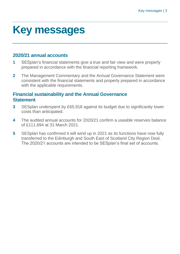### <span id="page-2-0"></span>**Key messages**

#### **2020/21 annual accounts**

- **1** SESplan's financial statements give a true and fair view and were properly prepared in accordance with the financial reporting framework.
- **2** The Management Commentary and the Annual Governance Statement were consistent with the financial statements and properly prepared in accordance with the applicable requirements.

#### **Financial sustainability and the Annual Governance Statement**

- **3** SESplan underspent by £65,918 against its budget due to significantly lower costs than anticipated.
- **4** The audited annual accounts for 2020/21 confirm a useable reserves balance of £111,694 at 31 March 2021.
- **5** SESplan has confirmed it will wind up in 2021 as its functions have now fully transferred to the Edinburgh and South East of Scotland City Region Deal. The 2020/21 accounts are intended to be SESplan's final set of accounts.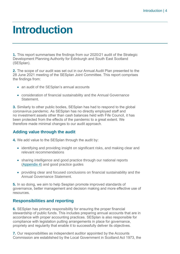### <span id="page-3-0"></span>**Introduction**

**1.** This report summarises the findings from our 2020/21 audit of the Strategic Development Planning Authority for Edinburgh and South East Scotland (SESplan).

**2.** The scope of our audit was set out in our Annual Audit Plan presented to the 28 June 2021 meeting of the SESplan Joint Committee. This report comprises the findings from:

- an audit of the SESplan's annual accounts
- consideration of financial sustainability and the Annual Governance Statement.

**3.** Similarly to other public bodies, SESplan has had to respond to the global coronavirus pandemic. As SESplan has no directly employed staff and no investment assets other than cash balances held with Fife Council, it has been protected from the effects of the pandemic to a great extent. We therefore made minimal changes to our audit approach.

#### **Adding value through the audit**

- **4.** We add value to the SESplan through the audit by:
	- identifying and providing insight on significant risks, and making clear and relevant recommendations
	- sharing intelligence and good practice through our national reports [\(Appendix 4\)](#page-13-0) and good practice guides
	- providing clear and focused conclusions on financial sustainability and the Annual Governance Statement.

**5.** In so doing, we aim to help Sesplan promote improved standards of governance, better management and decision making and more effective use of resources.

#### **Responsibilities and reporting**

**6.** SESplan has primary responsibility for ensuring the proper financial stewardship of public funds. This includes preparing annual accounts that are in accordance with proper accounting practices. SESplan is also responsible for compliance with legislation putting arrangements in place for governance, propriety and regularity that enable it to successfully deliver its objectives.

**7.** Our responsibilities as independent auditor appointed by the Accounts Commission are established by the Local Government in Scotland Act 1973, the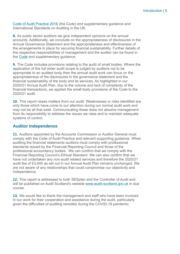[Code of Audit Practice 2016](http://www.audit-scotland.gov.uk/report/code-of-audit-practice-2016) (the Code) and supplementary guidance and International Standards on Auditing in the UK.

**8.** As public sector auditors we give independent opinions on the annual accounts. Additionally, we conclude on the appropriateness of disclosures in the Annual Governance Statement and the appropriateness and effectiveness of the arrangements in place for securing financial sustainability. Further details of the respective responsibilities of management and the auditor can be found in the [Code](http://www.audit-scotland.gov.uk/report/code-of-audit-practice-2016) and supplementary guidance.

**9.** The Code includes provisions relating to the audit of small bodies. Where the application of the full wider audit scope is judged by auditors not to be appropriate to an audited body then the annual audit work can focus on the appropriateness of the disclosures in the governance statement and the financial sustainability of the body and its services. As highlighted in our 2020/21 Annual Audit Plan, due to the volume and lack of complexity of the financial transactions, we applied the small body provisions of the Code to the 2020/21 audit.

**10.** This report raises matters from our audit. Weaknesses or risks identified are only those which have come to our attention during our normal audit work and may not be all that exist. Communicating these does not absolve management from its responsibility to address the issues we raise and to maintain adequate systems of control.

#### **Auditor Independence**

**11.** Auditors appointed by the Accounts Commission or Auditor General must comply with the Code of Audit Practice and relevant supporting guidance. When auditing the financial statements auditors must comply with professional standards issued by the Financial Reporting Council and those of the professional accountancy bodies. We can confirm that we comply with the Financial Reporting Council's Ethical Standard. We can also confirm that we have not undertaken any non-audit related services and therefore the 2020/21 audit fee of £3,040 as set out in our Annual Audit Plan remains unchanged. We are not aware of any relationships that could compromise our objectivity and independence.

**12.** This report is addressed to both SESplan and the Controller of Audit and will be published on Audit Scotland's website [www.audit-scotland.gov.uk](http://www.audit-scotland.gov.uk/) in due course.

**13.** We would like to thank the management and staff who have been involved in our work for their cooperation and assistance during the audit, particularly given the difficulties of auditing remotely during the COVID-19 pandemic.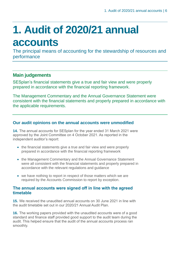## <span id="page-5-0"></span>**1. Audit of 2020/21 annual accounts**

The principal means of accounting for the stewardship of resources and performance

#### **Main judgements**

SESplan's financial statements give a true and fair view and were properly prepared in accordance with the financial reporting framework.

The Management Commentary and the Annual Governance Statement were consistent with the financial statements and properly prepared in accordance with the applicable requirements.

#### **Our audit opinions on the annual accounts were unmodified**

**14.** The annual accounts for SESplan for the year ended 31 March 2021 were approved by the Joint Committee on 4 October 2021. As reported in the independent auditor's report:

- the financial statements give a true and fair view and were properly prepared in accordance with the financial reporting framework
- the Management Commentary and the Annual Governance Statement were all consistent with the financial statements and properly prepared in accordance with the relevant regulations and guidance
- we have nothing to report in respect of those matters which we are required by the Accounts Commission to report by exception.

#### **The annual accounts were signed off in line with the agreed timetable**

**15.** We received the unaudited annual accounts on 30 June 2021 in line with the audit timetable set out in our 2020/21 Annual Audit Plan.

**16.** The working papers provided with the unaudited accounts were of a good standard and finance staff provided good support to the audit team during the audit. This helped ensure that the audit of the annual accounts process ran smoothly.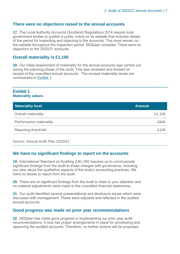#### **There were no objections raised to the annual accounts**

**17.** The Local Authority Accounts (Scotland) Regulations 2014 require local government bodies to publish a public notice on its website that includes details of the period for inspecting and objecting to the accounts. This must remain on the website throughout the inspection period. SESplan complied. There were no objections to the 2020/21 accounts.

#### **Overall materiality is £1,100**

**18.** Our initial assessment of materiality for the annual accounts was carried out during the planning phase of the audit. This was reviewed and revised on receipt of the unaudited annual accounts. The revised materiality levels are summarised in Exhibit 1.

#### **Exhibit 1 Materiality values**

| <b>Materiality level</b>   | <b>Amount</b> |
|----------------------------|---------------|
| <b>Overall materiality</b> | £1,100        |
| Performance materiality    | £840          |
| <b>Reporting threshold</b> | £100          |

Source: Annual Audit Plan 2020/21

#### **We have no significant findings to report on the accounts**

**19.** International Standard on Auditing (UK) 260 requires us to communicate significant findings from the audit to those charged with governance, including our view about the qualitative aspects of the body's accounting practices. We have no issues to report from the audit.

**20.** There are no significant findings from the audit to draw to your attention and no material adjustments were made to the unaudited financial statements.

**21.** Our audit identified several presentational and disclosure issues which were discussed with management. These were adjusted and reflected in the audited annual accounts.

#### **Good progress was made on prior year recommendations**

**22.** SESplan has made good progress in implementing our prior year audit recommendations. It now has proper arrangements in place for scrutinising and approving the audited accounts. Therefore, no further actions will be proposed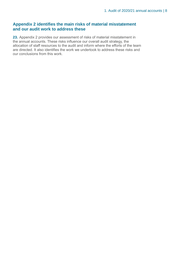#### **Appendix 2 identifies the main risks of material misstatement and our audit work to address these**

**23.** Appendix 2 provides our assessment of risks of material misstatement in the annual accounts. These risks influence our overall audit strategy, the allocation of staff resources to the audit and inform where the efforts of the team are directed. It also identifies the work we undertook to address these risks and our conclusions from this work.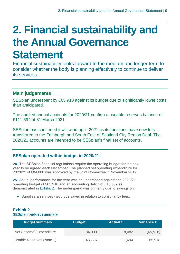### <span id="page-8-0"></span>**2. Financial sustainability and the Annual Governance Statement**

Financial sustainability looks forward to the medium and longer term to consider whether the body is planning effectively to continue to deliver its services.

#### **Main judgements**

SESplan underspent by £65,918 against its budget due to significantly lower costs than anticipated.

The audited annual accounts for 2020/21 confirm a useable reserves balance of £111,694 at 31 March 2021.

SESplan has confirmed it will wind up in 2021 as its functions have now fully transferred to the Edinburgh and South East of Scotland City Region Deal. The 2020/21 accounts are intended to be SESplan's final set of accounts.

#### **SESplan operated within budget in 2020/21**

**24.** The SESplan financial regulations require the operating budget for the next year to be agreed each December. The planned net operating expenditure for 2020/21 of £84,000 was approved by the Joint Committee in November 2019.

**25.** Actual performance for the year was an underspend against the 2020/21 operating budget of £65,918 and an accounting deficit of £18,082 as demonstrated in Exhibit 2. The underspend was primarily due to savings on:

• Supplies & services - £65,852 saved in relation to consultancy fees.

| <b>Budget summary</b>    | <b>Budget £</b> | <b>Actual £</b> | <b>Variance £</b> |
|--------------------------|-----------------|-----------------|-------------------|
| Net (Income)/Expenditure | 84,000          | 18,082          | (65, 918)         |
| Usable Reserves (Note 1) | 45,776          | 111,694         | 65,918            |

#### **Exhibit 2 SESplan budget summary**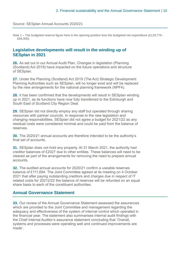#### Source: SESplan Annual Accounts 2020/21

Note 1 – The budgeted reserve figure here is the opening position less the budgeted net expenditure (£129,776 -£84,000).

#### **Legislative developments will result in the winding up of SESplan in 2021**

**26.** As set out in our Annual Audit Plan, Changes in legislation (Planning (Scotland) Act 2019) have impacted on the future operations and structure of SESplan.

**27.** Under the Planning (Scotland) Act 2019 (The Act) Strategic Development Planning Authorities such as SESplan, will no longer exist and will be replaced by the new arrangements for the national planning framework (NPF4).

**28.** It has been confirmed that the developments will result in SESplan winding up in 2021, as its functions have now fully transferred to the Edinburgh and South East of Scotland City Region Deal.

**29.** SESplan did not directly employ any staff but operated through sharing resources with partner councils. In response to the new legislation and changing responsibilities, SESplan did not agree a budget for 2021/22 as any residual costs were considered minimal and could be paid from the balance of reserves.

**30.** The 2020/21 annual accounts are therefore intended to be the authority's final set of accounts.

**31.** SESplan does not hold any property. At 31 March 2021, the authority had creditor balances of £2027 due to other entities. These balances will need to be cleared as part of the arrangements for removing the need to prepare annual accounts.

**32.** The audited annual accounts for 2020/21 confirm a useable reserves balance of £111,694. The Joint Committee agreed at its meeting on 4 October 2021 that after paying outstanding creditors and charges due in respect of IT related costs for 20212/22 the balance of reserves will be refunded on an equal share basis to each of the constituent authorities.

#### **Annual Governance Statement**

**33.** Our review of the Annual Governance Statement assessed the assurances which are provided to the Joint Committee and management regarding the adequacy and effectiveness of the system of internal control which operated in the financial year. The statement also summarises internal audit findings with the Chief Internal Auditor's assurance statement concluding that 'Overall, systems and processes were operating well and continued improvements are made'.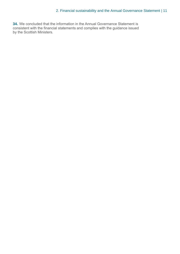**34.** We concluded that the information in the Annual Governance Statement is consistent with the financial statements and complies with the guidance issued by the Scottish Ministers.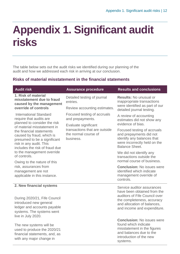### <span id="page-11-0"></span>**Appendix 1. Significant audit risks**

The table below sets out the audit risks we identified during our planning of the audit and how we addressed each risk in arriving at our conclusion.

#### **Risks of material misstatement in the financial statements**

| <b>Audit risk</b>                                                                                                                                                                                                 | <b>Assurance procedure</b>                                                                 | <b>Results and conclusions</b>                                                                                                                                                         |                                                                                                                                                                    |
|-------------------------------------------------------------------------------------------------------------------------------------------------------------------------------------------------------------------|--------------------------------------------------------------------------------------------|----------------------------------------------------------------------------------------------------------------------------------------------------------------------------------------|--------------------------------------------------------------------------------------------------------------------------------------------------------------------|
| 1. Risk of material<br>misstatement due to fraud<br>caused by the management                                                                                                                                      | Detailed testing of journal<br>entries.                                                    | <b>Results: No unusual or</b><br>inappropriate transactions<br>were identified as part of our                                                                                          |                                                                                                                                                                    |
| override of controls                                                                                                                                                                                              | Review accounting estimates.                                                               | detailed journal testing.                                                                                                                                                              |                                                                                                                                                                    |
| <b>International Standard</b><br>require that audits are                                                                                                                                                          | Focused testing of accruals<br>and prepayments.                                            | A review of accounting<br>estimates did not show any                                                                                                                                   |                                                                                                                                                                    |
| planned to consider the risk<br>of material misstatement in<br>the financial statements<br>caused by fraud, which is<br>presumed to be a significant<br>risk in any audit. This<br>includes the risk of fraud due | Evaluate significant<br>transactions that are outside<br>the normal course of<br>business. |                                                                                                                                                                                        | evidence of bias.<br>Focused testing of accruals<br>and prepayments did not<br>identify any balances that<br>were incorrectly held on the<br><b>Balance Sheet.</b> |
| to the management override<br>of controls.                                                                                                                                                                        |                                                                                            | We did not identify any<br>transactions outside the<br>normal course of business.                                                                                                      |                                                                                                                                                                    |
| Owing to the nature of this<br>risk, assurances from<br>management are not<br>applicable in this instance.                                                                                                        |                                                                                            | <b>Conclusion: No issues were</b><br>identified which indicate<br>management override of<br>controls.                                                                                  |                                                                                                                                                                    |
| 2. New financial systems<br>During 2020/21, Fife Council<br>introduced new general<br>ledger and accounts payable<br>systems. The systems went<br>live in July 2020.                                              |                                                                                            | Service auditor assurances<br>have been obtained from the<br>auditors of Fife Council over<br>the completeness, accuracy<br>and allocation of balances,<br>and income and expenditure. |                                                                                                                                                                    |
| The new systems will be<br>used to produce the 2020/21<br>financial statements, and, as<br>with any major change in                                                                                               |                                                                                            | <b>Conclusion: No issues were</b><br>found which indicate<br>misstatement in the figures<br>and balances due to the<br>introduction of the new<br>systems.                             |                                                                                                                                                                    |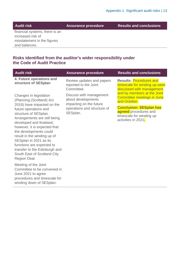**Audit risk Assurance procedure Results and conclusions**

financial systems, there is an increased risk of misstatement in the figures and balances.

#### **Risks identified from the auditor's wider responsibility under the Code of Audit Practice**

| <b>Audit risk</b>                                                                                                                                                                                                                                                                                                                                                                                                              | <b>Assurance procedure</b>                                                                                          | <b>Results and conclusions</b>                                                                                                                                                          |
|--------------------------------------------------------------------------------------------------------------------------------------------------------------------------------------------------------------------------------------------------------------------------------------------------------------------------------------------------------------------------------------------------------------------------------|---------------------------------------------------------------------------------------------------------------------|-----------------------------------------------------------------------------------------------------------------------------------------------------------------------------------------|
| 4. Future operations and<br>structure of SESplan                                                                                                                                                                                                                                                                                                                                                                               | Review updates and papers<br>reported to the Joint<br>Committee.                                                    | <b>Results: Procedures and</b><br>timescale for winding up were<br>discussed with management                                                                                            |
| Changes in legislation<br>(Planning (Scotland) Act<br>2019) have impacted on the<br>future operations and<br>structure of SESplan.<br>Arrangements are still being<br>developed and finalised,<br>however, it is expected that<br>the developments could<br>result in the winding up of<br>SESplan in 2021 as its<br>functions are expected to<br>transfer to the Edinburgh and<br>South East of Scotland City<br>Region Deal. | Discuss with management<br>about developments<br>impacting on the future<br>operations and structure of<br>SESplan. | and by members at the Joint<br>Committee meetings in June<br>and October.<br><b>Conclusion: SESplan has</b><br>agreed procedures and<br>timescale for winding up<br>activities in 2021. |
| Meeting of the Joint<br>Committee to be convened in<br>June 2021 to agree<br>procedures and timescale for<br>winding down of SESplan.                                                                                                                                                                                                                                                                                          |                                                                                                                     |                                                                                                                                                                                         |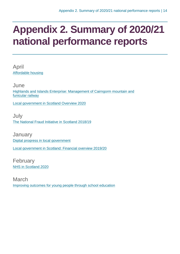### <span id="page-13-0"></span>**Appendix 2. Summary of 2020/21 national performance reports**

April [Affordable housing](https://www.audit-scotland.gov.uk/report/affordable-housing)

June [Highlands and Islands Enterprise: Management of Cairngorm mountain and](https://www.audit-scotland.gov.uk/report/highlands-and-islands-enterprise-management-of-cairngorm-mountain-and-funicular-railway)  [funicular railway](https://www.audit-scotland.gov.uk/report/highlands-and-islands-enterprise-management-of-cairngorm-mountain-and-funicular-railway)

[Local government in Scotland Overview 2020](https://www.audit-scotland.gov.uk/report/local-government-in-scotland-overview-2020)

July [The National Fraud Initiative in Scotland 2018/19](https://www.audit-scotland.gov.uk/report/the-national-fraud-initiative-in-scotland-201819)

**January** [Digital progress in local government](https://www.audit-scotland.gov.uk/report/digital-progress-in-local-government) [Local government in Scotland: Financial overview 2019/20](https://www.audit-scotland.gov.uk/report/local-government-in-scotland-financial-overview-201920)

February [NHS in Scotland 2020](https://www.audit-scotland.gov.uk/report/nhs-in-scotland-2020)

March [Improving outcomes for young people through school education](https://www.audit-scotland.gov.uk/report/improving-outcomes-for-young-people-through-school-education)